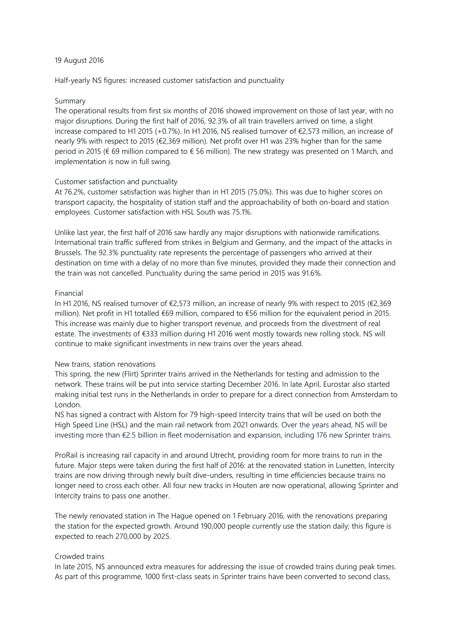### 19 August 2016

Half-yearly NS figures: increased customer satisfaction and punctuality

### Summary

The operational results from first six months of 2016 showed improvement on those of last year, with no major disruptions. During the first half of 2016, 92.3% of all train travellers arrived on time, a slight increase compared to H1 2015 (+0.7%). In H1 2016, NS realised turnover of €2,573 million, an increase of nearly 9% with respect to 2015 (€2,369 million). Net profit over H1 was 23% higher than for the same period in 2015 (€ 69 million compared to € 56 million). The new strategy was presented on 1 March, and implementation is now in full swing.

### Customer satisfaction and punctuality

At 76.2%, customer satisfaction was higher than in H1 2015 (75.0%). This was due to higher scores on transport capacity, the hospitality of station staff and the approachability of both on-board and station employees. Customer satisfaction with HSL South was 75.1%.

Unlike last year, the first half of 2016 saw hardly any major disruptions with nationwide ramifications. International train traffic suffered from strikes in Belgium and Germany, and the impact of the attacks in Brussels. The 92.3% punctuality rate represents the percentage of passengers who arrived at their destination on time with a delay of no more than five minutes, provided they made their connection and the train was not cancelled. Punctuality during the same period in 2015 was 91.6%.

### Financial

In H1 2016, NS realised turnover of €2,573 million, an increase of nearly 9% with respect to 2015 (€2,369 million). Net profit in H1 totalled €69 million, compared to €56 million for the equivalent period in 2015. This increase was mainly due to higher transport revenue, and proceeds from the divestment of real estate. The investments of €333 million during H1 2016 went mostly towards new rolling stock. NS will continue to make significant investments in new trains over the years ahead.

## New trains, station renovations

This spring, the new (Flirt) Sprinter trains arrived in the Netherlands for testing and admission to the network. These trains will be put into service starting December 2016. In late April, Eurostar also started making initial test runs in the Netherlands in order to prepare for a direct connection from Amsterdam to London.

NS has signed a contract with Alstom for 79 high-speed Intercity trains that will be used on both the High Speed Line (HSL) and the main rail network from 2021 onwards. Over the years ahead, NS will be investing more than €2.5 billion in fleet modernisation and expansion, including 176 new Sprinter trains.

ProRail is increasing rail capacity in and around Utrecht, providing room for more trains to run in the future. Major steps were taken during the first half of 2016: at the renovated station in Lunetten, Intercity trains are now driving through newly built dive-unders, resulting in time efficiencies because trains no longer need to cross each other. All four new tracks in Houten are now operational, allowing Sprinter and Intercity trains to pass one another.

The newly renovated station in The Hague opened on 1 February 2016, with the renovations preparing the station for the expected growth. Around 190,000 people currently use the station daily; this figure is expected to reach 270,000 by 2025.

## Crowded trains

In late 2015, NS announced extra measures for addressing the issue of crowded trains during peak times. As part of this programme, 1000 first-class seats in Sprinter trains have been converted to second class,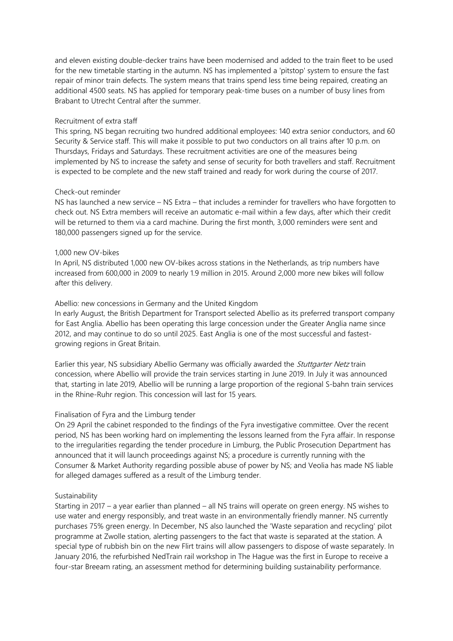and eleven existing double-decker trains have been modernised and added to the train fleet to be used for the new timetable starting in the autumn. NS has implemented a 'pitstop' system to ensure the fast repair of minor train defects. The system means that trains spend less time being repaired, creating an additional 4500 seats. NS has applied for temporary peak-time buses on a number of busy lines from Brabant to Utrecht Central after the summer.

#### Recruitment of extra staff

This spring, NS began recruiting two hundred additional employees: 140 extra senior conductors, and 60 Security & Service staff. This will make it possible to put two conductors on all trains after 10 p.m. on Thursdays, Fridays and Saturdays. These recruitment activities are one of the measures being implemented by NS to increase the safety and sense of security for both travellers and staff. Recruitment is expected to be complete and the new staff trained and ready for work during the course of 2017.

### Check-out reminder

NS has launched a new service – NS Extra – that includes a reminder for travellers who have forgotten to check out. NS Extra members will receive an automatic e-mail within a few days, after which their credit will be returned to them via a card machine. During the first month, 3,000 reminders were sent and 180,000 passengers signed up for the service.

#### 1,000 new OV-bikes

In April, NS distributed 1,000 new OV-bikes across stations in the Netherlands, as trip numbers have increased from 600,000 in 2009 to nearly 1.9 million in 2015. Around 2,000 more new bikes will follow after this delivery.

### Abellio: new concessions in Germany and the United Kingdom

In early August, the British Department for Transport selected Abellio as its preferred transport company for East Anglia. Abellio has been operating this large concession under the Greater Anglia name since 2012, and may continue to do so until 2025. East Anglia is one of the most successful and fastestgrowing regions in Great Britain.

Earlier this year, NS subsidiary Abellio Germany was officially awarded the *Stuttgarter Netz* train concession, where Abellio will provide the train services starting in June 2019. In July it was announced that, starting in late 2019, Abellio will be running a large proportion of the regional S-bahn train services in the Rhine-Ruhr region. This concession will last for 15 years.

## Finalisation of Fyra and the Limburg tender

On 29 April the cabinet responded to the findings of the Fyra investigative committee. Over the recent period, NS has been working hard on implementing the lessons learned from the Fyra affair. In response to the irregularities regarding the tender procedure in Limburg, the Public Prosecution Department has announced that it will launch proceedings against NS; a procedure is currently running with the Consumer & Market Authority regarding possible abuse of power by NS; and Veolia has made NS liable for alleged damages suffered as a result of the Limburg tender.

#### Sustainability

Starting in 2017 – a year earlier than planned – all NS trains will operate on green energy. NS wishes to use water and energy responsibly, and treat waste in an environmentally friendly manner. NS currently purchases 75% green energy. In December, NS also launched the 'Waste separation and recycling' pilot programme at Zwolle station, alerting passengers to the fact that waste is separated at the station. A special type of rubbish bin on the new Flirt trains will allow passengers to dispose of waste separately. In January 2016, the refurbished NedTrain rail workshop in The Hague was the first in Europe to receive a four-star Breeam rating, an assessment method for determining building sustainability performance.